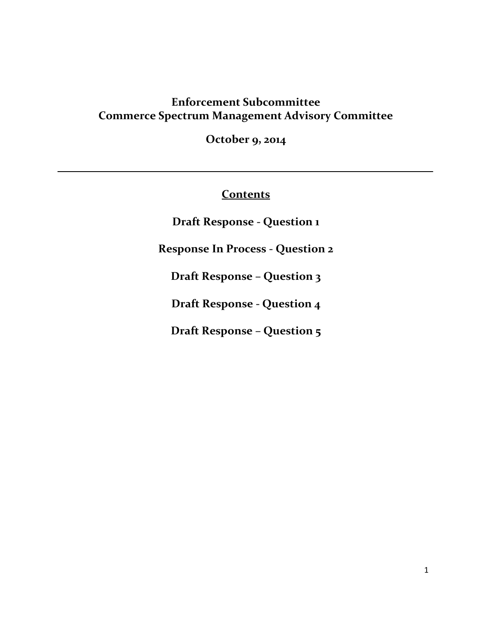# **Enforcement Subcommittee Commerce Spectrum Management Advisory Committee**

**October 9, 2014**

# **Contents**

**Draft Response - Question 1**

**Response In Process - Question 2**

**Draft Response – Question 3**

**Draft Response - Question 4**

**Draft Response – Question 5**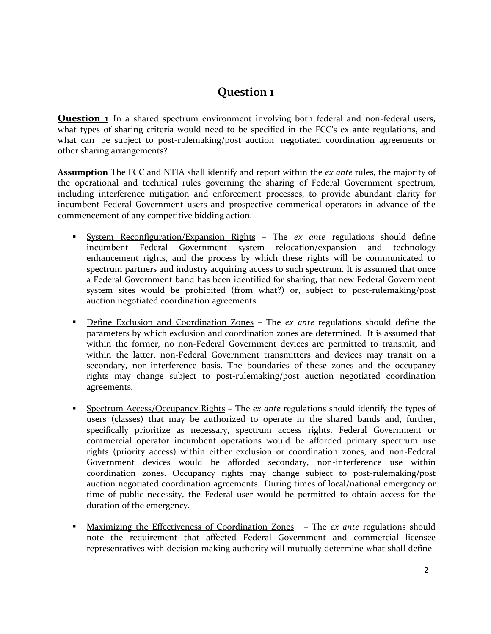**Question 1** In a shared spectrum environment involving both federal and non-federal users, what types of sharing criteria would need to be specified in the FCC's ex ante regulations, and what can be subject to post-rulemaking/post auction negotiated coordination agreements or other sharing arrangements?

**Assumption** The FCC and NTIA shall identify and report within the *ex ante* rules, the majority of the operational and technical rules governing the sharing of Federal Government spectrum, including interference mitigation and enforcement processes, to provide abundant clarity for incumbent Federal Government users and prospective commerical operators in advance of the commencement of any competitive bidding action.

- System Reconfiguration/Expansion Rights The *ex ante* regulations should define incumbent Federal Government system relocation/expansion and technology enhancement rights, and the process by which these rights will be communicated to spectrum partners and industry acquiring access to such spectrum. It is assumed that once a Federal Government band has been identified for sharing, that new Federal Government system sites would be prohibited (from what?) or, subject to post-rulemaking/post auction negotiated coordination agreements.
- Define Exclusion and Coordination Zones The *ex ante* regulations should define the parameters by which exclusion and coordination zones are determined. It is assumed that within the former, no non-Federal Government devices are permitted to transmit, and within the latter, non-Federal Government transmitters and devices may transit on a secondary, non-interference basis. The boundaries of these zones and the occupancy rights may change subject to post-rulemaking/post auction negotiated coordination agreements.
- Spectrum Access/Occupancy Rights The *ex ante* regulations should identify the types of users (classes) that may be authorized to operate in the shared bands and, further, specifically prioritize as necessary, spectrum access rights. Federal Government or commercial operator incumbent operations would be afforded primary spectrum use rights (priority access) within either exclusion or coordination zones, and non-Federal Government devices would be afforded secondary, non-interference use within coordination zones. Occupancy rights may change subject to post-rulemaking/post auction negotiated coordination agreements. During times of local/national emergency or time of public necessity, the Federal user would be permitted to obtain access for the duration of the emergency.
- Maximizing the Effectiveness of Coordination Zones The *ex ante* regulations should note the requirement that affected Federal Government and commercial licensee representatives with decision making authority will mutually determine what shall define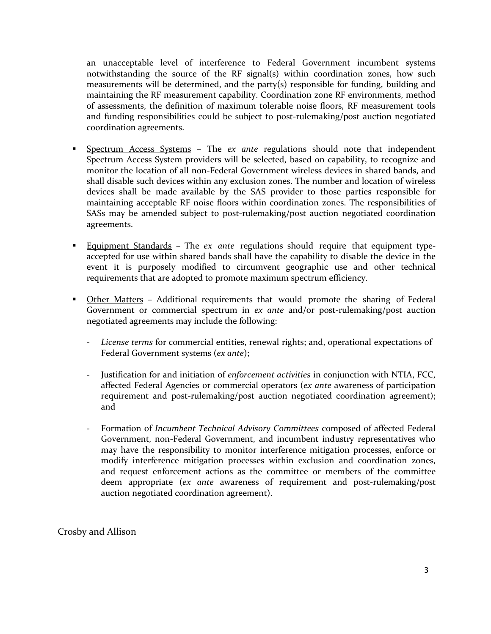an unacceptable level of interference to Federal Government incumbent systems notwithstanding the source of the RF signal(s) within coordination zones, how such measurements will be determined, and the party(s) responsible for funding, building and maintaining the RF measurement capability. Coordination zone RF environments, method of assessments, the definition of maximum tolerable noise floors, RF measurement tools and funding responsibilities could be subject to post-rulemaking/post auction negotiated coordination agreements.

- Spectrum Access Systems The *ex ante* regulations should note that independent Spectrum Access System providers will be selected, based on capability, to recognize and monitor the location of all non-Federal Government wireless devices in shared bands, and shall disable such devices within any exclusion zones. The number and location of wireless devices shall be made available by the SAS provider to those parties responsible for maintaining acceptable RF noise floors within coordination zones. The responsibilities of SASs may be amended subject to post-rulemaking/post auction negotiated coordination agreements.
- Equipment Standards The *ex ante* regulations should require that equipment typeaccepted for use within shared bands shall have the capability to disable the device in the event it is purposely modified to circumvent geographic use and other technical requirements that are adopted to promote maximum spectrum efficiency.
- **Other Matters Additional requirements that would promote the sharing of Federal** Government or commercial spectrum in *ex ante* and/or post-rulemaking/post auction negotiated agreements may include the following:
	- *License terms* for commercial entities, renewal rights; and, operational expectations of Federal Government systems (*ex ante*);
	- Justification for and initiation of *enforcement activities* in conjunction with NTIA, FCC, affected Federal Agencies or commercial operators (*ex ante* awareness of participation requirement and post-rulemaking/post auction negotiated coordination agreement); and
	- Formation of *Incumbent Technical Advisory Committees* composed of affected Federal Government, non-Federal Government, and incumbent industry representatives who may have the responsibility to monitor interference mitigation processes, enforce or modify interference mitigation processes within exclusion and coordination zones, and request enforcement actions as the committee or members of the committee deem appropriate (*ex ante* awareness of requirement and post-rulemaking/post auction negotiated coordination agreement).

Crosby and Allison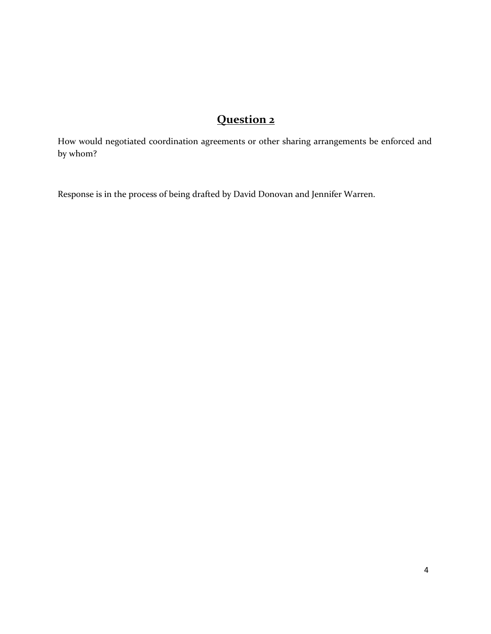How would negotiated coordination agreements or other sharing arrangements be enforced and by whom?

Response is in the process of being drafted by David Donovan and Jennifer Warren.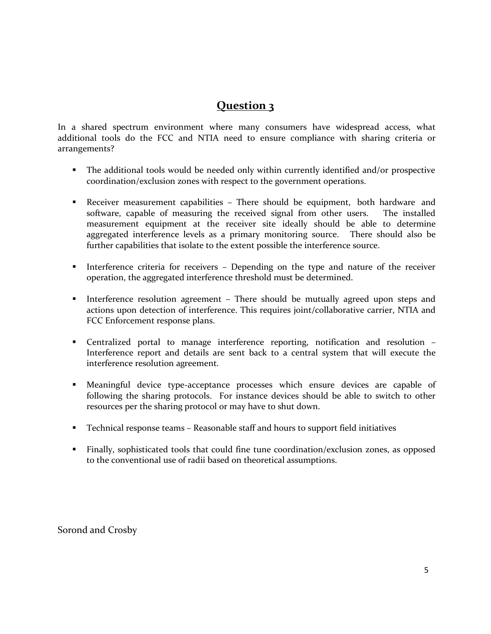In a shared spectrum environment where many consumers have widespread access, what additional tools do the FCC and NTIA need to ensure compliance with sharing criteria or arrangements?

- The additional tools would be needed only within currently identified and/or prospective coordination/exclusion zones with respect to the government operations.
- Receiver measurement capabilities There should be equipment, both hardware and software, capable of measuring the received signal from other users. The installed measurement equipment at the receiver site ideally should be able to determine aggregated interference levels as a primary monitoring source. There should also be further capabilities that isolate to the extent possible the interference source.
- Interference criteria for receivers Depending on the type and nature of the receiver operation, the aggregated interference threshold must be determined.
- Interference resolution agreement There should be mutually agreed upon steps and actions upon detection of interference. This requires joint/collaborative carrier, NTIA and FCC Enforcement response plans.
- Centralized portal to manage interference reporting, notification and resolution Interference report and details are sent back to a central system that will execute the interference resolution agreement.
- Meaningful device type-acceptance processes which ensure devices are capable of following the sharing protocols. For instance devices should be able to switch to other resources per the sharing protocol or may have to shut down.
- Technical response teams Reasonable staff and hours to support field initiatives
- Finally, sophisticated tools that could fine tune coordination/exclusion zones, as opposed to the conventional use of radii based on theoretical assumptions.

Sorond and Crosby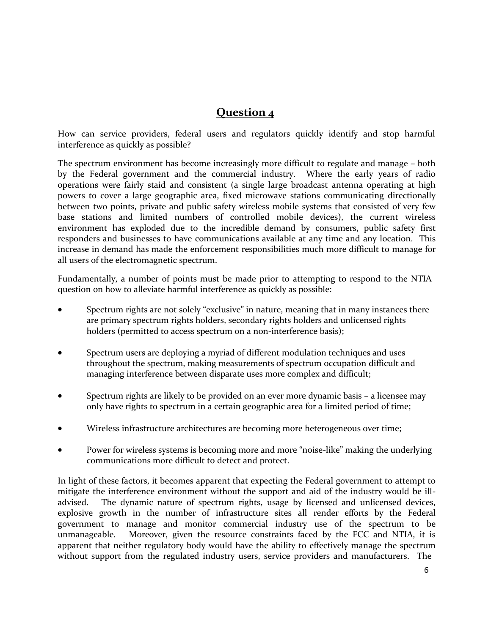How can service providers, federal users and regulators quickly identify and stop harmful interference as quickly as possible?

The spectrum environment has become increasingly more difficult to regulate and manage – both by the Federal government and the commercial industry. Where the early years of radio operations were fairly staid and consistent (a single large broadcast antenna operating at high powers to cover a large geographic area, fixed microwave stations communicating directionally between two points, private and public safety wireless mobile systems that consisted of very few base stations and limited numbers of controlled mobile devices), the current wireless environment has exploded due to the incredible demand by consumers, public safety first responders and businesses to have communications available at any time and any location. This increase in demand has made the enforcement responsibilities much more difficult to manage for all users of the electromagnetic spectrum.

Fundamentally, a number of points must be made prior to attempting to respond to the NTIA question on how to alleviate harmful interference as quickly as possible:

- Spectrum rights are not solely "exclusive" in nature, meaning that in many instances there are primary spectrum rights holders, secondary rights holders and unlicensed rights holders (permitted to access spectrum on a non-interference basis);
- Spectrum users are deploying a myriad of different modulation techniques and uses throughout the spectrum, making measurements of spectrum occupation difficult and managing interference between disparate uses more complex and difficult;
- Spectrum rights are likely to be provided on an ever more dynamic basis a licensee may only have rights to spectrum in a certain geographic area for a limited period of time;
- Wireless infrastructure architectures are becoming more heterogeneous over time;
- Power for wireless systems is becoming more and more "noise-like" making the underlying communications more difficult to detect and protect.

In light of these factors, it becomes apparent that expecting the Federal government to attempt to mitigate the interference environment without the support and aid of the industry would be illadvised. The dynamic nature of spectrum rights, usage by licensed and unlicensed devices, explosive growth in the number of infrastructure sites all render efforts by the Federal government to manage and monitor commercial industry use of the spectrum to be unmanageable. Moreover, given the resource constraints faced by the FCC and NTIA, it is apparent that neither regulatory body would have the ability to effectively manage the spectrum without support from the regulated industry users, service providers and manufacturers. The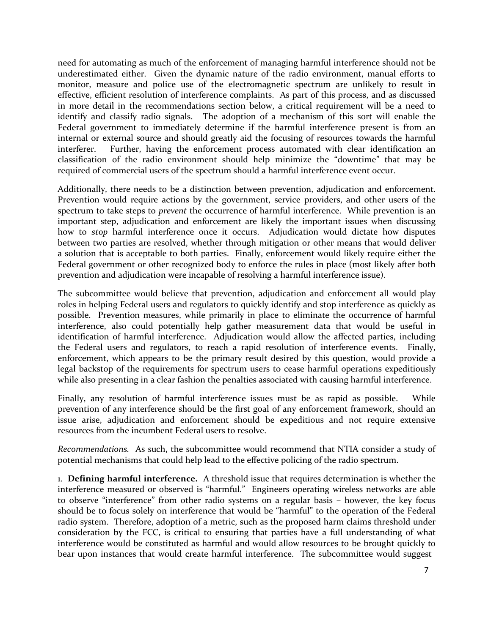need for automating as much of the enforcement of managing harmful interference should not be underestimated either. Given the dynamic nature of the radio environment, manual efforts to monitor, measure and police use of the electromagnetic spectrum are unlikely to result in effective, efficient resolution of interference complaints. As part of this process, and as discussed in more detail in the recommendations section below, a critical requirement will be a need to identify and classify radio signals. The adoption of a mechanism of this sort will enable the Federal government to immediately determine if the harmful interference present is from an internal or external source and should greatly aid the focusing of resources towards the harmful interferer. Further, having the enforcement process automated with clear identification an classification of the radio environment should help minimize the "downtime" that may be required of commercial users of the spectrum should a harmful interference event occur.

Additionally, there needs to be a distinction between prevention, adjudication and enforcement. Prevention would require actions by the government, service providers, and other users of the spectrum to take steps to *prevent* the occurrence of harmful interference. While prevention is an important step, adjudication and enforcement are likely the important issues when discussing how to *stop* harmful interference once it occurs. Adjudication would dictate how disputes between two parties are resolved, whether through mitigation or other means that would deliver a solution that is acceptable to both parties. Finally, enforcement would likely require either the Federal government or other recognized body to enforce the rules in place (most likely after both prevention and adjudication were incapable of resolving a harmful interference issue).

The subcommittee would believe that prevention, adjudication and enforcement all would play roles in helping Federal users and regulators to quickly identify and stop interference as quickly as possible. Prevention measures, while primarily in place to eliminate the occurrence of harmful interference, also could potentially help gather measurement data that would be useful in identification of harmful interference. Adjudication would allow the affected parties, including the Federal users and regulators, to reach a rapid resolution of interference events. Finally, enforcement, which appears to be the primary result desired by this question, would provide a legal backstop of the requirements for spectrum users to cease harmful operations expeditiously while also presenting in a clear fashion the penalties associated with causing harmful interference.

Finally, any resolution of harmful interference issues must be as rapid as possible. While prevention of any interference should be the first goal of any enforcement framework, should an issue arise, adjudication and enforcement should be expeditious and not require extensive resources from the incumbent Federal users to resolve.

*Recommendations.* As such, the subcommittee would recommend that NTIA consider a study of potential mechanisms that could help lead to the effective policing of the radio spectrum.

1. **Defining harmful interference.** A threshold issue that requires determination is whether the interference measured or observed is "harmful." Engineers operating wireless networks are able to observe "interference" from other radio systems on a regular basis – however, the key focus should be to focus solely on interference that would be "harmful" to the operation of the Federal radio system. Therefore, adoption of a metric, such as the proposed harm claims threshold under consideration by the FCC, is critical to ensuring that parties have a full understanding of what interference would be constituted as harmful and would allow resources to be brought quickly to bear upon instances that would create harmful interference. The subcommittee would suggest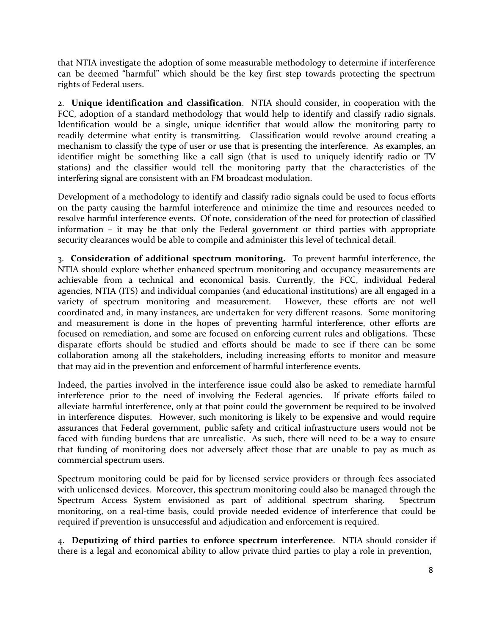that NTIA investigate the adoption of some measurable methodology to determine if interference can be deemed "harmful" which should be the key first step towards protecting the spectrum rights of Federal users.

2. **Unique identification and classification**. NTIA should consider, in cooperation with the FCC, adoption of a standard methodology that would help to identify and classify radio signals. Identification would be a single, unique identifier that would allow the monitoring party to readily determine what entity is transmitting. Classification would revolve around creating a mechanism to classify the type of user or use that is presenting the interference. As examples, an identifier might be something like a call sign (that is used to uniquely identify radio or TV stations) and the classifier would tell the monitoring party that the characteristics of the interfering signal are consistent with an FM broadcast modulation.

Development of a methodology to identify and classify radio signals could be used to focus efforts on the party causing the harmful interference and minimize the time and resources needed to resolve harmful interference events. Of note, consideration of the need for protection of classified information – it may be that only the Federal government or third parties with appropriate security clearances would be able to compile and administer this level of technical detail.

3. **Consideration of additional spectrum monitoring.** To prevent harmful interference, the NTIA should explore whether enhanced spectrum monitoring and occupancy measurements are achievable from a technical and economical basis. Currently, the FCC, individual Federal agencies, NTIA (ITS) and individual companies (and educational institutions) are all engaged in a variety of spectrum monitoring and measurement. However, these efforts are not well coordinated and, in many instances, are undertaken for very different reasons. Some monitoring and measurement is done in the hopes of preventing harmful interference, other efforts are focused on remediation, and some are focused on enforcing current rules and obligations. These disparate efforts should be studied and efforts should be made to see if there can be some collaboration among all the stakeholders, including increasing efforts to monitor and measure that may aid in the prevention and enforcement of harmful interference events.

Indeed, the parties involved in the interference issue could also be asked to remediate harmful interference prior to the need of involving the Federal agencies. If private efforts failed to alleviate harmful interference, only at that point could the government be required to be involved in interference disputes. However, such monitoring is likely to be expensive and would require assurances that Federal government, public safety and critical infrastructure users would not be faced with funding burdens that are unrealistic. As such, there will need to be a way to ensure that funding of monitoring does not adversely affect those that are unable to pay as much as commercial spectrum users.

Spectrum monitoring could be paid for by licensed service providers or through fees associated with unlicensed devices. Moreover, this spectrum monitoring could also be managed through the Spectrum Access System envisioned as part of additional spectrum sharing. Spectrum monitoring, on a real-time basis, could provide needed evidence of interference that could be required if prevention is unsuccessful and adjudication and enforcement is required.

4. **Deputizing of third parties to enforce spectrum interference**. NTIA should consider if there is a legal and economical ability to allow private third parties to play a role in prevention,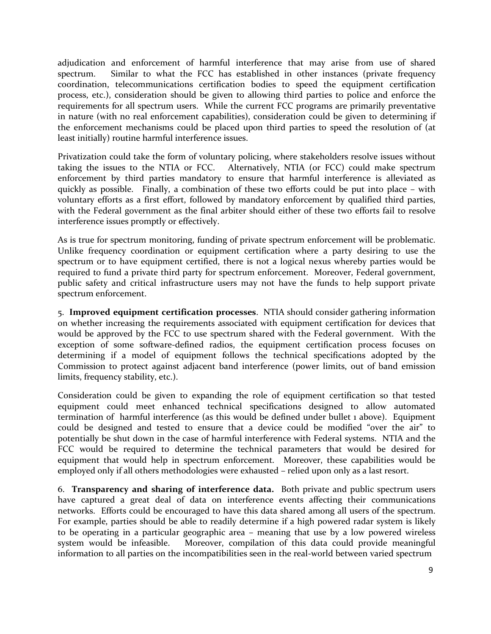adjudication and enforcement of harmful interference that may arise from use of shared spectrum. Similar to what the FCC has established in other instances (private frequency coordination, telecommunications certification bodies to speed the equipment certification process, etc.), consideration should be given to allowing third parties to police and enforce the requirements for all spectrum users. While the current FCC programs are primarily preventative in nature (with no real enforcement capabilities), consideration could be given to determining if the enforcement mechanisms could be placed upon third parties to speed the resolution of (at least initially) routine harmful interference issues.

Privatization could take the form of voluntary policing, where stakeholders resolve issues without taking the issues to the NTIA or FCC. Alternatively, NTIA (or FCC) could make spectrum enforcement by third parties mandatory to ensure that harmful interference is alleviated as quickly as possible. Finally, a combination of these two efforts could be put into place – with voluntary efforts as a first effort, followed by mandatory enforcement by qualified third parties, with the Federal government as the final arbiter should either of these two efforts fail to resolve interference issues promptly or effectively.

As is true for spectrum monitoring, funding of private spectrum enforcement will be problematic. Unlike frequency coordination or equipment certification where a party desiring to use the spectrum or to have equipment certified, there is not a logical nexus whereby parties would be required to fund a private third party for spectrum enforcement. Moreover, Federal government, public safety and critical infrastructure users may not have the funds to help support private spectrum enforcement.

5. **Improved equipment certification processes**. NTIA should consider gathering information on whether increasing the requirements associated with equipment certification for devices that would be approved by the FCC to use spectrum shared with the Federal government. With the exception of some software-defined radios, the equipment certification process focuses on determining if a model of equipment follows the technical specifications adopted by the Commission to protect against adjacent band interference (power limits, out of band emission limits, frequency stability, etc.).

Consideration could be given to expanding the role of equipment certification so that tested equipment could meet enhanced technical specifications designed to allow automated termination of harmful interference (as this would be defined under bullet 1 above). Equipment could be designed and tested to ensure that a device could be modified "over the air" to potentially be shut down in the case of harmful interference with Federal systems. NTIA and the FCC would be required to determine the technical parameters that would be desired for equipment that would help in spectrum enforcement. Moreover, these capabilities would be employed only if all others methodologies were exhausted – relied upon only as a last resort.

6. **Transparency and sharing of interference data.** Both private and public spectrum users have captured a great deal of data on interference events affecting their communications networks. Efforts could be encouraged to have this data shared among all users of the spectrum. For example, parties should be able to readily determine if a high powered radar system is likely to be operating in a particular geographic area – meaning that use by a low powered wireless system would be infeasible. Moreover, compilation of this data could provide meaningful information to all parties on the incompatibilities seen in the real-world between varied spectrum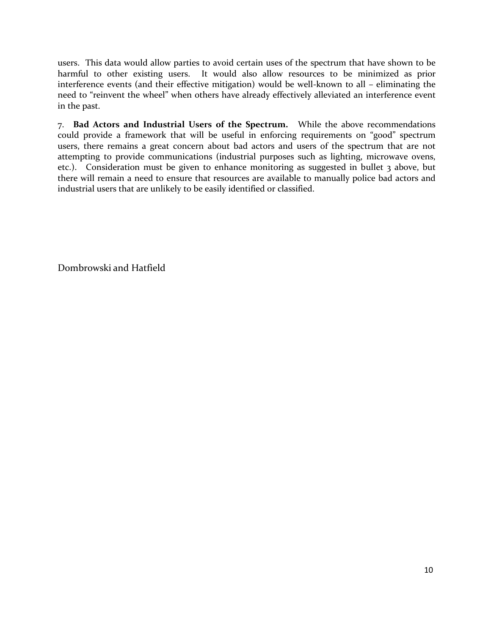users. This data would allow parties to avoid certain uses of the spectrum that have shown to be harmful to other existing users. It would also allow resources to be minimized as prior interference events (and their effective mitigation) would be well-known to all – eliminating the need to "reinvent the wheel" when others have already effectively alleviated an interference event in the past.

7. **Bad Actors and Industrial Users of the Spectrum.** While the above recommendations could provide a framework that will be useful in enforcing requirements on "good" spectrum users, there remains a great concern about bad actors and users of the spectrum that are not attempting to provide communications (industrial purposes such as lighting, microwave ovens, etc.). Consideration must be given to enhance monitoring as suggested in bullet 3 above, but there will remain a need to ensure that resources are available to manually police bad actors and industrial users that are unlikely to be easily identified or classified.

Dombrowski and Hatfield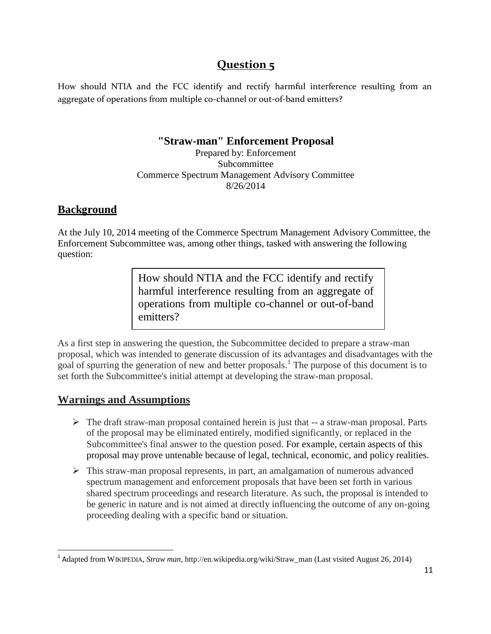How should NTIA and the FCC identify and rectify harmful interference resulting from an aggregate of operations from multiple co-channel or out-of-band emitters?

### **"Straw-man" Enforcement Proposal**

Prepared by: Enforcement Subcommittee Commerce Spectrum Management Advisory Committee 8/26/2014

### **Background**

At the July 10, 2014 meeting of the Commerce Spectrum Management Advisory Committee, the Enforcement Subcommittee was, among other things, tasked with answering the following question:

> How should NTIA and the FCC identify and rectify harmful interference resulting from an aggregate of operations from multiple co-channel or out-of-band emitters?

As a first step in answering the question, the Subcommittee decided to prepare a straw-man proposal, which was intended to generate discussion of its advantages and disadvantages with the goal of spurring the generation of new and better proposals.<sup>1</sup> The purpose of this document is to set forth the Subcommittee's initial attempt at developing the straw-man proposal.

### **Warnings and Assumptions**

- $\triangleright$  The draft straw-man proposal contained herein is just that  $-$  a straw-man proposal. Parts of the proposal may be eliminated entirely, modified significantly, or replaced in the Subcommittee's final answer to the question posed. For example, certain aspects of this proposal may prove untenable because of legal, technical, economic, and policy realities.
- This straw-man proposal represents, in part, an amalgamation of numerous advanced spectrum management and enforcement proposals that have been set forth in various shared spectrum proceedings and research literature. As such, the proposal is intended to be generic in nature and is not aimed at directly influencing the outcome of any on-going proceeding dealing with a specific band or situation.

<sup>1</sup> Adapted from WIKIPEDIA, *Straw man*, [http://en.wikipedia.org/wiki/Straw\\_man](http://en.wikipedia.org/wiki/Straw_man) (Last visited August 26, 2014)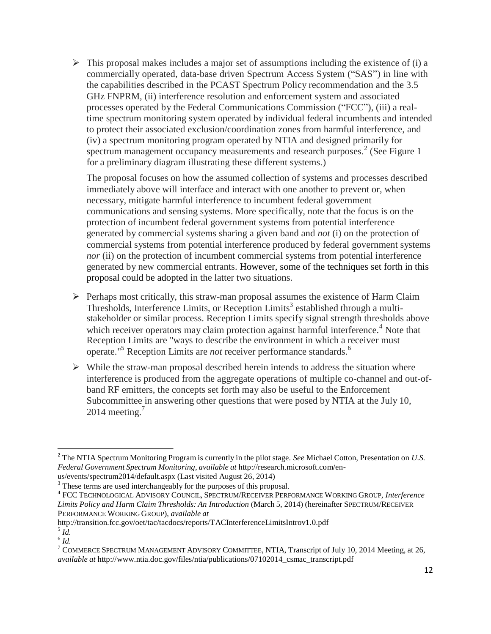$\triangleright$  This proposal makes includes a major set of assumptions including the existence of (i) a commercially operated, data-base driven Spectrum Access System ("SAS") in line with the capabilities described in the PCAST Spectrum Policy recommendation and the 3.5 GHz FNPRM, (ii) interference resolution and enforcement system and associated processes operated by the Federal Communications Commission ("FCC"), (iii) a realtime spectrum monitoring system operated by individual federal incumbents and intended to protect their associated exclusion/coordination zones from harmful interference, and (iv) a spectrum monitoring program operated by NTIA and designed primarily for spectrum management occupancy measurements and research purposes.<sup>2</sup> (See Figure 1 for a preliminary diagram illustrating these different systems.)

The proposal focuses on how the assumed collection of systems and processes described immediately above will interface and interact with one another to prevent or, when necessary, mitigate harmful interference to incumbent federal government communications and sensing systems. More specifically, note that the focus is on the protection of incumbent federal government systems from potential interference generated by commercial systems sharing a given band and *not* (i) on the protection of commercial systems from potential interference produced by federal government systems *nor* (ii) on the protection of incumbent commercial systems from potential interference generated by new commercial entrants. However, some of the techniques set forth in this proposal could be adopted in the latter two situations.

- $\triangleright$  Perhaps most critically, this straw-man proposal assumes the existence of Harm Claim Thresholds, Interference Limits, or Reception Limits<sup>3</sup> established through a multistakeholder or similar process. Reception Limits specify signal strength thresholds above which receiver operators may claim protection against harmful interference.<sup>4</sup> Note that Reception Limits are "ways to describe the environment in which a receiver must operate." <sup>5</sup> Reception Limits are *not* receiver performance standards. 6
- $\triangleright$  While the straw-man proposal described herein intends to address the situation where interference is produced from the aggregate operations of multiple co-channel and out-ofband RF emitters, the concepts set forth may also be useful to the Enforcement Subcommittee in answering other questions that were posed by NTIA at the July 10, 2014 meeting. $<sup>7</sup>$ </sup>

<sup>2</sup> The NTIA Spectrum Monitoring Program is currently in the pilot stage. *See* Michael Cotton, Presentation on *U.S. Federal Government Spectrum Monitoring*, *available at* <http://research.microsoft.com/en->

us/events/spectrum2014/default.aspx (Last visited August 26, 2014)

<sup>&</sup>lt;sup>3</sup> These terms are used interchangeably for the purposes of this proposal.

<sup>4</sup> FCC TECHNOLOGICAL ADVISORY COUNCIL, SPECTRUM/RECEIVER PERFORMANCE WORKING GROUP*, Interference Limits Policy and Harm Claim Thresholds: An Introduction* (March 5, 2014) (hereinafter SPECTRUM/RECEIVER PERFORMANCE WORKING GROUP), *available at* 

<http://transition.fcc.gov/oet/tac/tacdocs/reports/TACInterferenceLimitsIntrov1.0.pdf>

<sup>5</sup> *Id.*

<sup>6</sup> *Id.*

<sup>&</sup>lt;sup>7</sup> COMMERCE SPECTRUM MANAGEMENT ADVISORY COMMITTEE, NTIA, Transcript of July 10, 2014 Meeting, at 26, *available at* [http://www.ntia.doc.gov/files/ntia/publications/07102014\\_csmac\\_transcript.pdf](http://www.ntia.doc.gov/files/ntia/publications/07102014_csmac_transcript.pdf)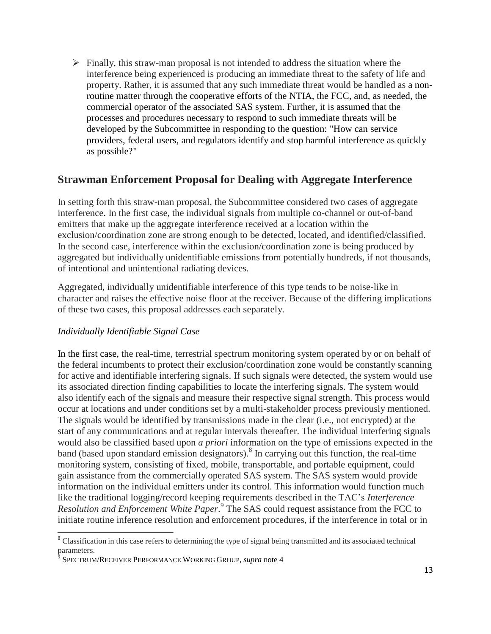$\triangleright$  Finally, this straw-man proposal is not intended to address the situation where the interference being experienced is producing an immediate threat to the safety of life and property. Rather, it is assumed that any such immediate threat would be handled as a nonroutine matter through the cooperative efforts of the NTIA, the FCC, and, as needed, the commercial operator of the associated SAS system. Further, it is assumed that the processes and procedures necessary to respond to such immediate threats will be developed by the Subcommittee in responding to the question: "How can service providers, federal users, and regulators identify and stop harmful interference as quickly as possible?"

### **Strawman Enforcement Proposal for Dealing with Aggregate Interference**

In setting forth this straw-man proposal, the Subcommittee considered two cases of aggregate interference. In the first case, the individual signals from multiple co-channel or out-of-band emitters that make up the aggregate interference received at a location within the exclusion/coordination zone are strong enough to be detected, located, and identified/classified. In the second case, interference within the exclusion/coordination zone is being produced by aggregated but individually unidentifiable emissions from potentially hundreds, if not thousands, of intentional and unintentional radiating devices.

Aggregated, individually unidentifiable interference of this type tends to be noise-like in character and raises the effective noise floor at the receiver. Because of the differing implications of these two cases, this proposal addresses each separately.

#### *Individually Identifiable Signal Case*

In the first case, the real-time, terrestrial spectrum monitoring system operated by or on behalf of the federal incumbents to protect their exclusion/coordination zone would be constantly scanning for active and identifiable interfering signals. If such signals were detected, the system would use its associated direction finding capabilities to locate the interfering signals. The system would also identify each of the signals and measure their respective signal strength. This process would occur at locations and under conditions set by a multi-stakeholder process previously mentioned. The signals would be identified by transmissions made in the clear (i.e., not encrypted) at the start of any communications and at regular intervals thereafter. The individual interfering signals would also be classified based upon *a priori* information on the type of emissions expected in the band (based upon standard emission designators). 8 In carrying out this function, the real-time monitoring system, consisting of fixed, mobile, transportable, and portable equipment, could gain assistance from the commercially operated SAS system. The SAS system would provide information on the individual emitters under its control. This information would function much like the traditional logging/record keeping requirements described in the TAC's *Interference Resolution and Enforcement White Paper*. 9 The SAS could request assistance from the FCC to initiate routine inference resolution and enforcement procedures, if the interference in total or in

<sup>&</sup>lt;sup>8</sup> Classification in this case refers to determining the type of signal being transmitted and its associated technical parameters.

SPECTRUM/RECEIVER PERFORMANCE WORKING GROUP, *supra* note 4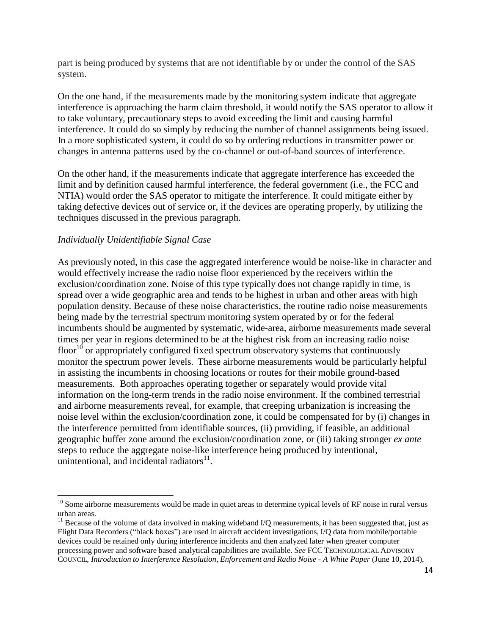part is being produced by systems that are not identifiable by or under the control of the SAS system.

On the one hand, if the measurements made by the monitoring system indicate that aggregate interference is approaching the harm claim threshold, it would notify the SAS operator to allow it to take voluntary, precautionary steps to avoid exceeding the limit and causing harmful interference. It could do so simply by reducing the number of channel assignments being issued. In a more sophisticated system, it could do so by ordering reductions in transmitter power or changes in antenna patterns used by the co-channel or out-of-band sources of interference.

On the other hand, if the measurements indicate that aggregate interference has exceeded the limit and by definition caused harmful interference, the federal government (i.e., the FCC and NTIA) would order the SAS operator to mitigate the interference. It could mitigate either by taking defective devices out of service or, if the devices are operating properly, by utilizing the techniques discussed in the previous paragraph.

#### *Individually Unidentifiable Signal Case*

As previously noted, in this case the aggregated interference would be noise-like in character and would effectively increase the radio noise floor experienced by the receivers within the exclusion/coordination zone. Noise of this type typically does not change rapidly in time, is spread over a wide geographic area and tends to be highest in urban and other areas with high population density. Because of these noise characteristics, the routine radio noise measurements being made by the terrestrial spectrum monitoring system operated by or for the federal incumbents should be augmented by systematic, wide-area, airborne measurements made several times per year in regions determined to be at the highest risk from an increasing radio noise floor<sup>10</sup> or appropriately configured fixed spectrum observatory systems that continuously monitor the spectrum power levels. These airborne measurements would be particularly helpful in assisting the incumbents in choosing locations or routes for their mobile ground-based measurements. Both approaches operating together or separately would provide vital information on the long-term trends in the radio noise environment. If the combined terrestrial and airborne measurements reveal, for example, that creeping urbanization is increasing the noise level within the exclusion/coordination zone, it could be compensated for by (i) changes in the interference permitted from identifiable sources, (ii) providing, if feasible, an additional geographic buffer zone around the exclusion/coordination zone, or (iii) taking stronger *ex ante*  steps to reduce the aggregate noise-like interference being produced by intentional, unintentional, and incidental radiators<sup>11</sup>.

 $10$  Some airborne measurements would be made in quiet areas to determine typical levels of RF noise in rural versus urban areas.

 $11$  Because of the volume of data involved in making wideband I/Q measurements, it has been suggested that, just as Flight Data Recorders ("black boxes") are used in aircraft accident investigations, I/Q data from mobile/portable devices could be retained only during interference incidents and then analyzed later when greater computer processing power and software based analytical capabilities are available. *See* FCC TECHNOLOGICAL ADVISORY COUNCIL, *Introduction to Interference Resolution, Enforcement and Radio Noise - A White Paper* (June 10, 2014),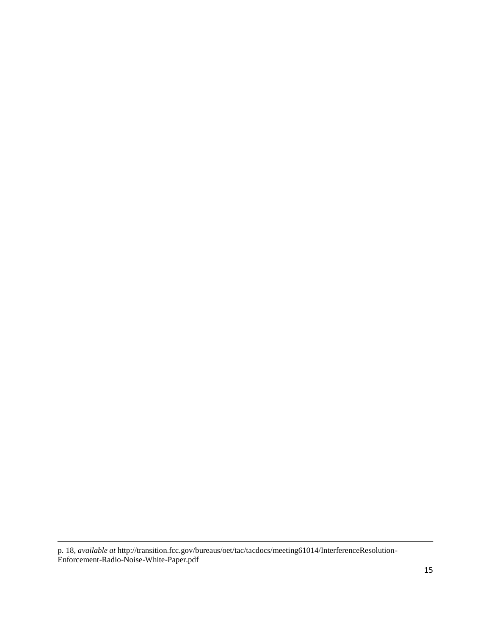p. 18, *available at* <http://transition.fcc.gov/bureaus/oet/tac/tacdocs/meeting61014/InterferenceResolution->Enforcement-Radio-Noise-White-Paper.pdf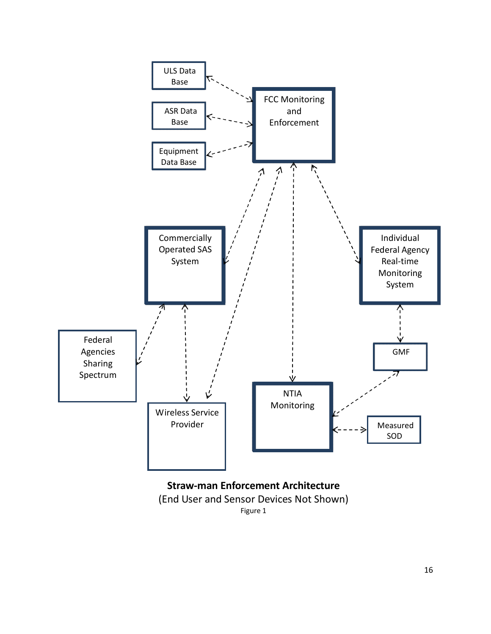

Figure 1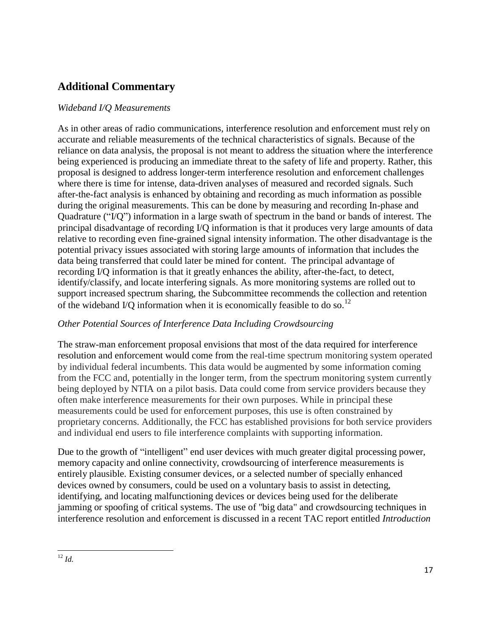# **Additional Commentary**

#### *Wideband I/Q Measurements*

As in other areas of radio communications, interference resolution and enforcement must rely on accurate and reliable measurements of the technical characteristics of signals. Because of the reliance on data analysis, the proposal is not meant to address the situation where the interference being experienced is producing an immediate threat to the safety of life and property. Rather, this proposal is designed to address longer-term interference resolution and enforcement challenges where there is time for intense, data-driven analyses of measured and recorded signals. Such after-the-fact analysis is enhanced by obtaining and recording as much information as possible during the original measurements. This can be done by measuring and recording In-phase and Quadrature ("I/Q") information in a large swath of spectrum in the band or bands of interest. The principal disadvantage of recording I/Q information is that it produces very large amounts of data relative to recording even fine-grained signal intensity information. The other disadvantage is the potential privacy issues associated with storing large amounts of information that includes the data being transferred that could later be mined for content. The principal advantage of recording I/Q information is that it greatly enhances the ability, after-the-fact, to detect, identify/classify, and locate interfering signals. As more monitoring systems are rolled out to support increased spectrum sharing, the Subcommittee recommends the collection and retention of the wideband I/Q information when it is economically feasible to do so.<sup>12</sup>

### *Other Potential Sources of Interference Data Including Crowdsourcing*

The straw-man enforcement proposal envisions that most of the data required for interference resolution and enforcement would come from the real-time spectrum monitoring system operated by individual federal incumbents. This data would be augmented by some information coming from the FCC and, potentially in the longer term, from the spectrum monitoring system currently being deployed by NTIA on a pilot basis. Data could come from service providers because they often make interference measurements for their own purposes. While in principal these measurements could be used for enforcement purposes, this use is often constrained by proprietary concerns. Additionally, the FCC has established provisions for both service providers and individual end users to file interference complaints with supporting information.

Due to the growth of "intelligent" end user devices with much greater digital processing power, memory capacity and online connectivity, crowdsourcing of interference measurements is entirely plausible. Existing consumer devices, or a selected number of specially enhanced devices owned by consumers, could be used on a voluntary basis to assist in detecting, identifying, and locating malfunctioning devices or devices being used for the deliberate jamming or spoofing of critical systems. The use of "big data" and crowdsourcing techniques in interference resolution and enforcement is discussed in a recent TAC report entitled *Introduction*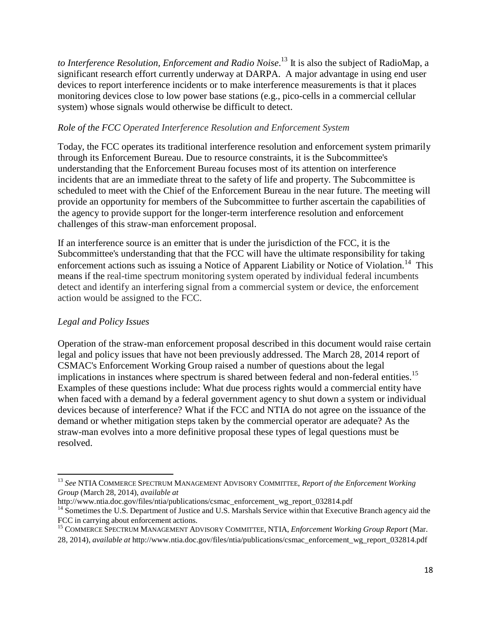*to Interference Resolution, Enforcement and Radio Noise*. 13 It is also the subject of RadioMap, a significant research effort currently underway at DARPA. A major advantage in using end user devices to report interference incidents or to make interference measurements is that it places monitoring devices close to low power base stations (e.g., pico-cells in a commercial cellular system) whose signals would otherwise be difficult to detect.

#### *Role of the FCC Operated Interference Resolution and Enforcement System*

Today, the FCC operates its traditional interference resolution and enforcement system primarily through its Enforcement Bureau. Due to resource constraints, it is the Subcommittee's understanding that the Enforcement Bureau focuses most of its attention on interference incidents that are an immediate threat to the safety of life and property. The Subcommittee is scheduled to meet with the Chief of the Enforcement Bureau in the near future. The meeting will provide an opportunity for members of the Subcommittee to further ascertain the capabilities of the agency to provide support for the longer-term interference resolution and enforcement challenges of this straw-man enforcement proposal.

If an interference source is an emitter that is under the jurisdiction of the FCC, it is the Subcommittee's understanding that that the FCC will have the ultimate responsibility for taking enforcement actions such as issuing a Notice of Apparent Liability or Notice of Violation.<sup>14</sup> This means if the real-time spectrum monitoring system operated by individual federal incumbents detect and identify an interfering signal from a commercial system or device, the enforcement action would be assigned to the FCC.

#### *Legal and Policy Issues*

Operation of the straw-man enforcement proposal described in this document would raise certain legal and policy issues that have not been previously addressed. The March 28, 2014 report of CSMAC's Enforcement Working Group raised a number of questions about the legal implications in instances where spectrum is shared between federal and non-federal entities.<sup>15</sup> Examples of these questions include: What due process rights would a commercial entity have when faced with a demand by a federal government agency to shut down a system or individual devices because of interference? What if the FCC and NTIA do not agree on the issuance of the demand or whether mitigation steps taken by the commercial operator are adequate? As the straw-man evolves into a more definitive proposal these types of legal questions must be resolved.

<sup>13</sup> *See* NTIA COMMERCE SPECTRUM MANAGEMENT ADVISORY COMMITTEE, *Report of the Enforcement Working Group* (March 28, 2014), *available at* 

[http://www.ntia.doc.gov/files/ntia/publications/csmac\\_enforcement\\_wg\\_report\\_032814.pdf](http://www.ntia.doc.gov/files/ntia/publications/csmac_enforcement_wg_report_032814.pdf) <sup>14</sup> Sometimes the U.S. Department of Justice and U.S. Marshals Service within that Executive Branch agency aid the FCC in carrying about enforcement actions.

<sup>15</sup> COMMERCE SPECTRUM MANAGEMENT ADVISORY COMMITTEE, NTIA, *Enforcement Working Group Report* (Mar. 28, 2014), *available at* [http://www.ntia.doc.gov/files/ntia/publications/csmac\\_enforcement\\_wg\\_report\\_032814.pdf](http://www.ntia.doc.gov/files/ntia/publications/csmac_enforcement_wg_report_032814.pdf)